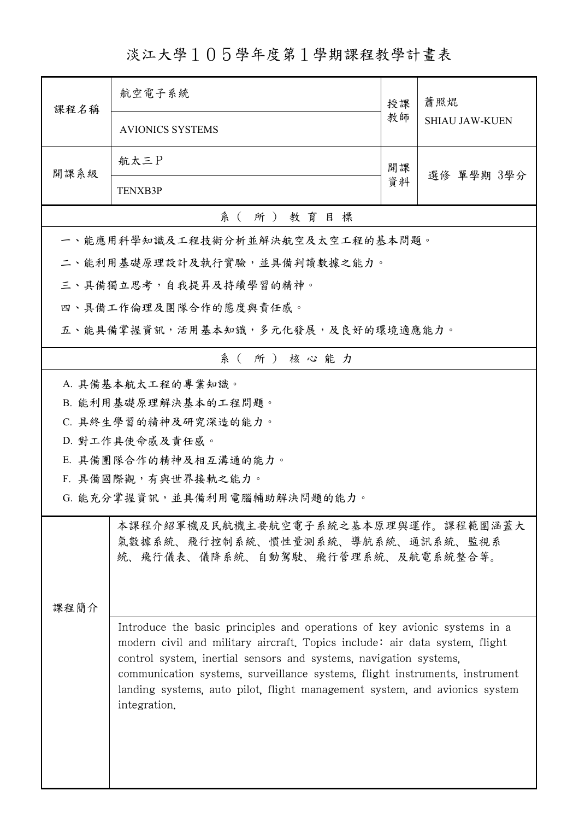淡江大學105學年度第1學期課程教學計畫表

| 課程名稱                                                                                                                                                                                                                                                                                                                                                                                                       | 航空電子系統                                                                                                        | 授課               | 蕭照焜<br><b>SHIAU JAW-KUEN</b> |  |  |
|------------------------------------------------------------------------------------------------------------------------------------------------------------------------------------------------------------------------------------------------------------------------------------------------------------------------------------------------------------------------------------------------------------|---------------------------------------------------------------------------------------------------------------|------------------|------------------------------|--|--|
|                                                                                                                                                                                                                                                                                                                                                                                                            | <b>AVIONICS SYSTEMS</b>                                                                                       | 教師               |                              |  |  |
| 開課系級                                                                                                                                                                                                                                                                                                                                                                                                       | 航太三P                                                                                                          | 開課<br>選修 單學期 3學分 |                              |  |  |
|                                                                                                                                                                                                                                                                                                                                                                                                            | <b>TENXB3P</b>                                                                                                |                  |                              |  |  |
| 系(所)教育目標                                                                                                                                                                                                                                                                                                                                                                                                   |                                                                                                               |                  |                              |  |  |
|                                                                                                                                                                                                                                                                                                                                                                                                            | 一、能應用科學知識及工程技術分析並解決航空及太空工程的基本問題。                                                                              |                  |                              |  |  |
|                                                                                                                                                                                                                                                                                                                                                                                                            | 二、能利用基礎原理設計及執行實驗,並具備判讀數據之能力。                                                                                  |                  |                              |  |  |
|                                                                                                                                                                                                                                                                                                                                                                                                            | 三、具備獨立思考,自我提昇及持續學習的精神。                                                                                        |                  |                              |  |  |
|                                                                                                                                                                                                                                                                                                                                                                                                            | 四、具備工作倫理及團隊合作的態度與責任感。                                                                                         |                  |                              |  |  |
|                                                                                                                                                                                                                                                                                                                                                                                                            | 五、能具備掌握資訊,活用基本知識,多元化發展,及良好的環境適應能力。                                                                            |                  |                              |  |  |
|                                                                                                                                                                                                                                                                                                                                                                                                            | 系(所)核心能力                                                                                                      |                  |                              |  |  |
| A. 具備基本航太工程的專業知識。<br>B. 能利用基礎原理解決基本的工程問題。<br>C. 具終生學習的精神及研究深造的能力。                                                                                                                                                                                                                                                                                                                                          |                                                                                                               |                  |                              |  |  |
|                                                                                                                                                                                                                                                                                                                                                                                                            | D. 對工作具使命感及責任感。                                                                                               |                  |                              |  |  |
| E. 具備團隊合作的精神及相互溝通的能力。                                                                                                                                                                                                                                                                                                                                                                                      |                                                                                                               |                  |                              |  |  |
|                                                                                                                                                                                                                                                                                                                                                                                                            | F. 具備國際觀,有與世界接軌之能力。                                                                                           |                  |                              |  |  |
|                                                                                                                                                                                                                                                                                                                                                                                                            | G. 能充分掌握資訊,並具備利用電腦輔助解決問題的能力。                                                                                  |                  |                              |  |  |
| 课程简介                                                                                                                                                                                                                                                                                                                                                                                                       | 本課程介紹軍機及民航機主要航空電子系統之基本原理與運作。課程範圍涵蓋大<br>氣數據系統、飛行控制系統、慣性量測系統、導航系統、通訊系統、監視系<br>統、飛行儀表、儀降系統、自動駕駛、飛行管理系統、及航電系統整合等。 |                  |                              |  |  |
| Introduce the basic principles and operations of key avionic systems in a<br>modern civil and military aircraft. Topics include: air data system, flight<br>control system, inertial sensors and systems, navigation systems,<br>communication systems, surveillance systems, flight instruments, instrument<br>landing systems, auto pilot, flight management system, and avionics system<br>integration. |                                                                                                               |                  |                              |  |  |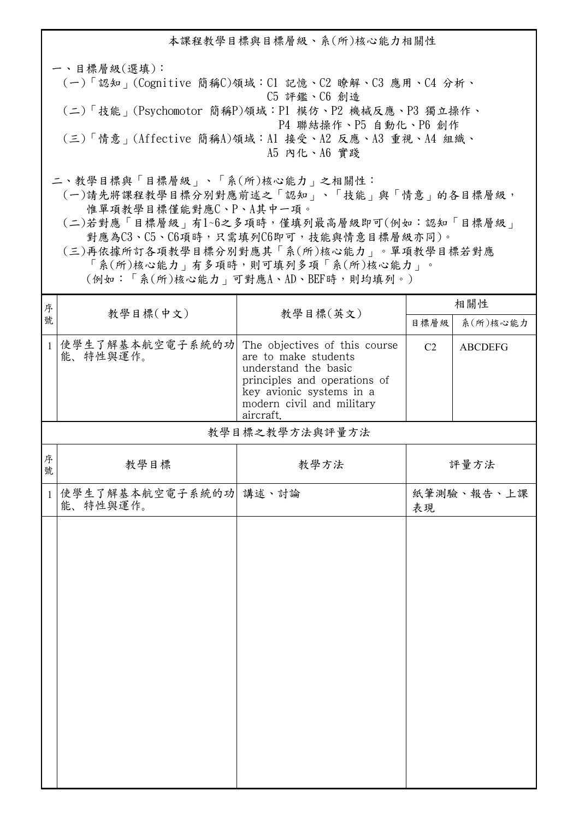本課程教學目標與目標層級、系(所)核心能力相關性 一、目標層級(選填): (一)「認知」(Cognitive 簡稱C)領域:C1 記憶、C2 瞭解、C3 應用、C4 分析、 C5 評鑑、C6 創造 (二)「技能」(Psychomotor 簡稱P)領域:P1 模仿、P2 機械反應、P3 獨立操作、 P4 聯結操作、P5 自動化、P6 創作 (三)「情意」(Affective 簡稱A)領域:A1 接受、A2 反應、A3 重視、A4 組織、 A5 內化、A6 實踐 二、教學目標與「目標層級」、「系(所)核心能力」之相關性:

 (一)請先將課程教學目標分別對應前述之「認知」、「技能」與「情意」的各目標層級, 惟單項教學目標僅能對應C、P、A其中一項。

 (二)若對應「目標層級」有1~6之多項時,僅填列最高層級即可(例如:認知「目標層級」 對應為C3、C5、C6項時,只需填列C6即可,技能與情意目標層級亦同)。

 (三)再依據所訂各項教學目標分別對應其「系(所)核心能力」。單項教學目標若對應 「系(所)核心能力」有多項時,則可填列多項「系(所)核心能力」。

(例如:「系(所)核心能力」可對應A、AD、BEF時,則均填列。)

| 序            |                                   | 教學目標(英文)                                                                                                                                                                            | 相關性              |                |  |  |
|--------------|-----------------------------------|-------------------------------------------------------------------------------------------------------------------------------------------------------------------------------------|------------------|----------------|--|--|
| 號            | 教學目標(中文)                          |                                                                                                                                                                                     | 目標層級             | 系(所)核心能力       |  |  |
| $\mathbf{1}$ | 使學生了解基本航空電子系統的功<br>能、特性與運作。       | The objectives of this course<br>are to make students<br>understand the basic<br>principles and operations of<br>key avionic systems in a<br>modern civil and military<br>aircraft. | C <sub>2</sub>   | <b>ABCDEFG</b> |  |  |
|              | 教學目標之教學方法與評量方法                    |                                                                                                                                                                                     |                  |                |  |  |
| 序<br>號       | 教學目標                              | 教學方法                                                                                                                                                                                |                  | 評量方法           |  |  |
| $\mathbf{1}$ | 使學生了解基本航空電子系統的功 講述、討論<br>能、特性與運作。 |                                                                                                                                                                                     | 紙筆測驗、報告、上課<br>表現 |                |  |  |
|              |                                   |                                                                                                                                                                                     |                  |                |  |  |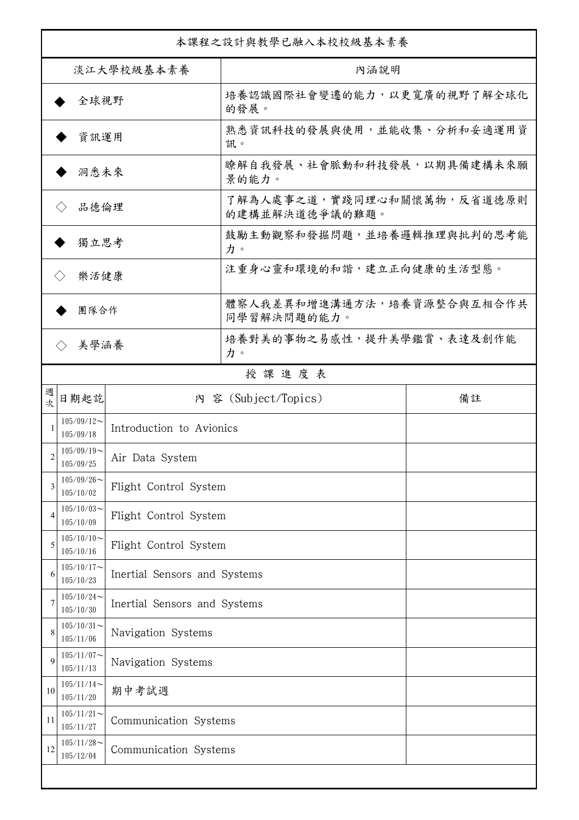| 本課程之設計與教學已融入本校校級基本素養      |                            |                              |                                              |    |  |
|---------------------------|----------------------------|------------------------------|----------------------------------------------|----|--|
| 淡江大學校級基本素養                |                            |                              | 內涵說明                                         |    |  |
| 全球視野                      |                            |                              | 培養認識國際社會變遷的能力,以更寬廣的視野了解全球化<br>的發展。           |    |  |
| 資訊運用                      |                            |                              | 熟悉資訊科技的發展與使用,並能收集、分析和妥適運用資<br>訊。             |    |  |
| 洞悉未來                      |                            |                              | 瞭解自我發展、社會脈動和科技發展,以期具備建構未來願<br>景的能力。          |    |  |
| 品德倫理                      |                            |                              | 了解為人處事之道,實踐同理心和關懷萬物,反省道德原則<br>的建構並解決道德爭議的難題。 |    |  |
| 獨立思考                      |                            |                              | 鼓勵主動觀察和發掘問題,並培養邏輯推理與批判的思考能<br>力。             |    |  |
| 樂活健康                      |                            |                              | 注重身心靈和環境的和諧,建立正向健康的生活型態。                     |    |  |
| 團隊合作                      |                            |                              | 體察人我差異和增進溝通方法,培養資源整合與互相合作共<br>同學習解決問題的能力。    |    |  |
| 美學涵養<br>$\langle \rangle$ |                            |                              | 培養對美的事物之易感性,提升美學鑑賞、表達及創作能<br>力。              |    |  |
|                           |                            |                              | 授課進度表                                        |    |  |
| 週<br>欤                    | 日期起訖                       |                              | 內 容 (Subject/Topics)                         | 備註 |  |
| 1                         | $105/09/12$ ~<br>105/09/18 | Introduction to Avionics     |                                              |    |  |
| 2                         | $105/09/19$ ~<br>105/09/25 | Air Data System              |                                              |    |  |
| 3                         | $105/09/26$ ~<br>105/10/02 | Flight Control System        |                                              |    |  |
| $\overline{4}$            | $105/10/03$ ~<br>105/10/09 | Flight Control System        |                                              |    |  |
| 5                         | $105/10/10$ ~<br>105/10/16 | Flight Control System        |                                              |    |  |
| 6                         | $105/10/17$ ~<br>105/10/23 | Inertial Sensors and Systems |                                              |    |  |
|                           | $105/10/24$ ~<br>105/10/30 | Inertial Sensors and Systems |                                              |    |  |
| 8                         | $105/10/31$ ~<br>105/11/06 | Navigation Systems           |                                              |    |  |
| 9                         | $105/11/07$ ~<br>105/11/13 | Navigation Systems           |                                              |    |  |
| 10                        | $105/11/14$ ~<br>105/11/20 | 期中考試週                        |                                              |    |  |
| 11                        | $105/11/21$ ~<br>105/11/27 | Communication Systems        |                                              |    |  |
| 12                        | $105/11/28$ ~<br>105/12/04 | Communication Systems        |                                              |    |  |
|                           |                            |                              |                                              |    |  |